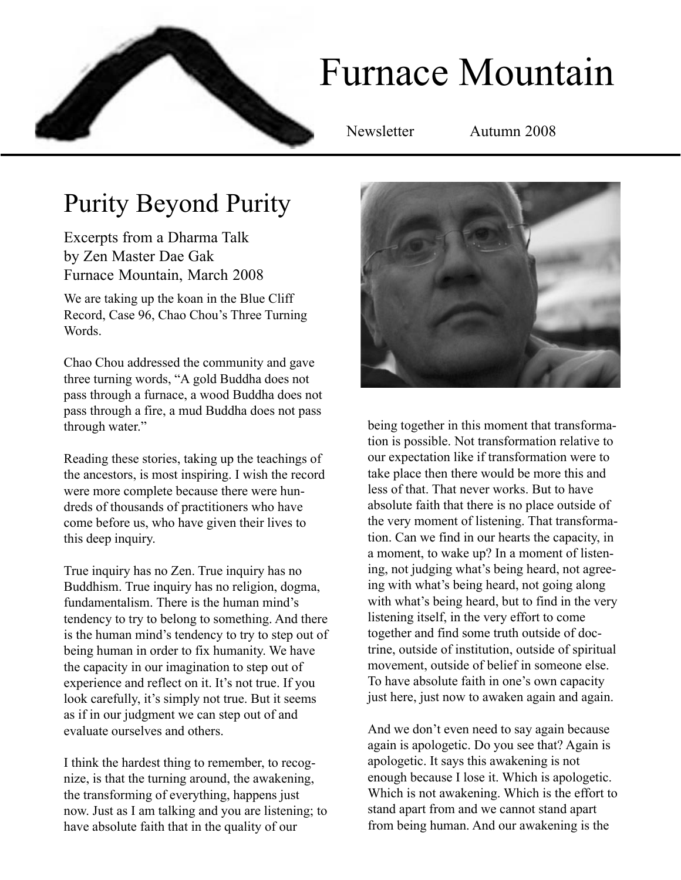

# Furnace Mountain

Newsletter Autumn 2008

# Purity Beyond Purity

Excerpts from a Dharma Talk by Zen Master Dae Gak Furnace Mountain, March 2008

We are taking up the koan in the Blue Cliff Record, Case 96, Chao Chou's Three Turning Words.

Chao Chou addressed the community and gave three turning words, "A gold Buddha does not pass through a furnace, a wood Buddha does not pass through a fire, a mud Buddha does not pass through water."

Reading these stories, taking up the teachings of the ancestors, is most inspiring. I wish the record were more complete because there were hundreds of thousands of practitioners who have come before us, who have given their lives to this deep inquiry.

True inquiry has no Zen. True inquiry has no Buddhism. True inquiry has no religion, dogma, fundamentalism. There is the human mind's tendency to try to belong to something. And there is the human mind's tendency to try to step out of being human in order to fix humanity. We have the capacity in our imagination to step out of experience and reflect on it. It's not true. If you look carefully, it's simply not true. But it seems as if in our judgment we can step out of and evaluate ourselves and others.

I think the hardest thing to remember, to recognize, is that the turning around, the awakening, the transforming of everything, happens just now. Just as I am talking and you are listening; to have absolute faith that in the quality of our



being together in this moment that transformation is possible. Not transformation relative to our expectation like if transformation were to take place then there would be more this and less of that. That never works. But to have absolute faith that there is no place outside of the very moment of listening. That transformation. Can we find in our hearts the capacity, in a moment, to wake up? In a moment of listening, not judging what's being heard, not agreeing with what's being heard, not going along with what's being heard, but to find in the very listening itself, in the very effort to come together and find some truth outside of doctrine, outside of institution, outside of spiritual movement, outside of belief in someone else. To have absolute faith in one's own capacity just here, just now to awaken again and again.

And we don't even need to say again because again is apologetic. Do you see that? Again is apologetic. It says this awakening is not enough because I lose it. Which is apologetic. Which is not awakening. Which is the effort to stand apart from and we cannot stand apart from being human. And our awakening is the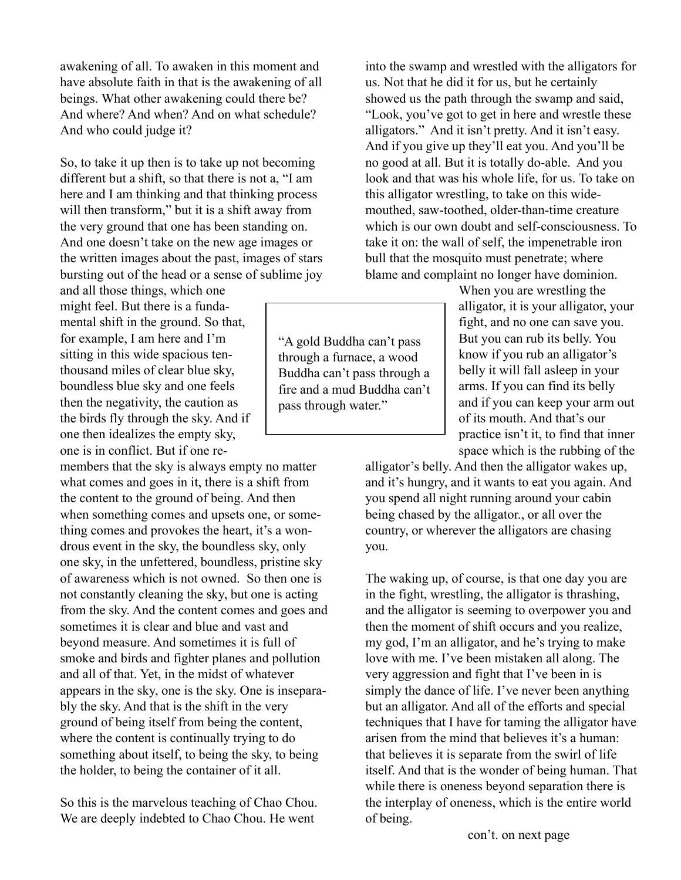awakening of all. To awaken in this moment and have absolute faith in that is the awakening of all beings. What other awakening could there be? And where? And when? And on what schedule? And who could judge it?

So, to take it up then is to take up not becoming different but a shift, so that there is not a, "I am here and I am thinking and that thinking process will then transform," but it is a shift away from the very ground that one has been standing on. And one doesn't take on the new age images or the written images about the past, images of stars bursting out of the head or a sense of sublime joy

and all those things, which one might feel. But there is a fundamental shift in the ground. So that, for example, I am here and I'm sitting in this wide spacious tenthousand miles of clear blue sky, boundless blue sky and one feels then the negativity, the caution as the birds fly through the sky. And if one then idealizes the empty sky, one is in conflict. But if one re-

members that the sky is always empty no matter what comes and goes in it, there is a shift from the content to the ground of being. And then when something comes and upsets one, or something comes and provokes the heart, it's a wondrous event in the sky, the boundless sky, only one sky, in the unfettered, boundless, pristine sky of awareness which is not owned. So then one is not constantly cleaning the sky, but one is acting from the sky. And the content comes and goes and sometimes it is clear and blue and vast and beyond measure. And sometimes it is full of smoke and birds and fighter planes and pollution and all of that. Yet, in the midst of whatever appears in the sky, one is the sky. One is inseparably the sky. And that is the shift in the very ground of being itself from being the content, where the content is continually trying to do something about itself, to being the sky, to being the holder, to being the container of it all.

So this is the marvelous teaching of Chao Chou. We are deeply indebted to Chao Chou. He went

into the swamp and wrestled with the alligators for us. Not that he did it for us, but he certainly showed us the path through the swamp and said, "Look, you've got to get in here and wrestle these alligators." And it isn't pretty. And it isn't easy. And if you give up they'll eat you. And you'll be no good at all. But it is totally do-able. And you look and that was his whole life, for us. To take on this alligator wrestling, to take on this widemouthed, saw-toothed, older-than-time creature which is our own doubt and self-consciousness. To take it on: the wall of self, the impenetrable iron bull that the mosquito must penetrate; where blame and complaint no longer have dominion.

> When you are wrestling the alligator, it is your alligator, your fight, and no one can save you. But you can rub its belly. You know if you rub an alligator's belly it will fall asleep in your arms. If you can find its belly and if you can keep your arm out of its mouth. And that's our practice isn't it, to find that inner space which is the rubbing of the

alligator's belly. And then the alligator wakes up, and it's hungry, and it wants to eat you again. And you spend all night running around your cabin being chased by the alligator., or all over the country, or wherever the alligators are chasing you.

The waking up, of course, is that one day you are in the fight, wrestling, the alligator is thrashing, and the alligator is seeming to overpower you and then the moment of shift occurs and you realize, my god, I'm an alligator, and he's trying to make love with me. I've been mistaken all along. The very aggression and fight that I've been in is simply the dance of life. I've never been anything but an alligator. And all of the efforts and special techniques that I have for taming the alligator have arisen from the mind that believes it's a human: that believes it is separate from the swirl of life itself. And that is the wonder of being human. That while there is oneness beyond separation there is the interplay of oneness, which is the entire world of being.

"A gold Buddha can't pass through a furnace, a wood Buddha can't pass through a fire and a mud Buddha can't pass through water."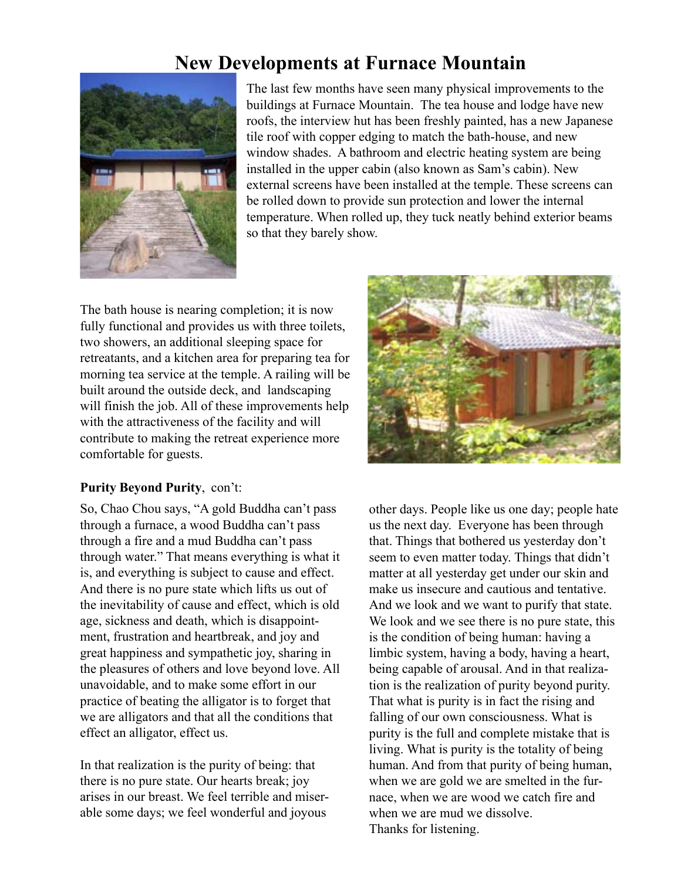### **New Developments at Furnace Mountain**



The last few months have seen many physical improvements to the buildings at Furnace Mountain. The tea house and lodge have new roofs, the interview hut has been freshly painted, has a new Japanese tile roof with copper edging to match the bath-house, and new window shades. A bathroom and electric heating system are being installed in the upper cabin (also known as Sam's cabin). New external screens have been installed at the temple. These screens can be rolled down to provide sun protection and lower the internal temperature. When rolled up, they tuck neatly behind exterior beams so that they barely show.

The bath house is nearing completion; it is now fully functional and provides us with three toilets, two showers, an additional sleeping space for retreatants, and a kitchen area for preparing tea for morning tea service at the temple. A railing will be built around the outside deck, and landscaping will finish the job. All of these improvements help with the attractiveness of the facility and will contribute to making the retreat experience more comfortable for guests.

#### **Purity Beyond Purity**, con't:

So, Chao Chou says, "A gold Buddha can't pass through a furnace, a wood Buddha can't pass through a fire and a mud Buddha can't pass through water." That means everything is what it is, and everything is subject to cause and effect. And there is no pure state which lifts us out of the inevitability of cause and effect, which is old age, sickness and death, which is disappointment, frustration and heartbreak, and joy and great happiness and sympathetic joy, sharing in the pleasures of others and love beyond love. All unavoidable, and to make some effort in our practice of beating the alligator is to forget that we are alligators and that all the conditions that effect an alligator, effect us.

In that realization is the purity of being: that there is no pure state. Our hearts break; joy arises in our breast. We feel terrible and miserable some days; we feel wonderful and joyous



other days. People like us one day; people hate us the next day. Everyone has been through that. Things that bothered us yesterday don't seem to even matter today. Things that didn't matter at all yesterday get under our skin and make us insecure and cautious and tentative. And we look and we want to purify that state. We look and we see there is no pure state, this is the condition of being human: having a limbic system, having a body, having a heart, being capable of arousal. And in that realization is the realization of purity beyond purity. That what is purity is in fact the rising and falling of our own consciousness. What is purity is the full and complete mistake that is living. What is purity is the totality of being human. And from that purity of being human, when we are gold we are smelted in the furnace, when we are wood we catch fire and when we are mud we dissolve. Thanks for listening.